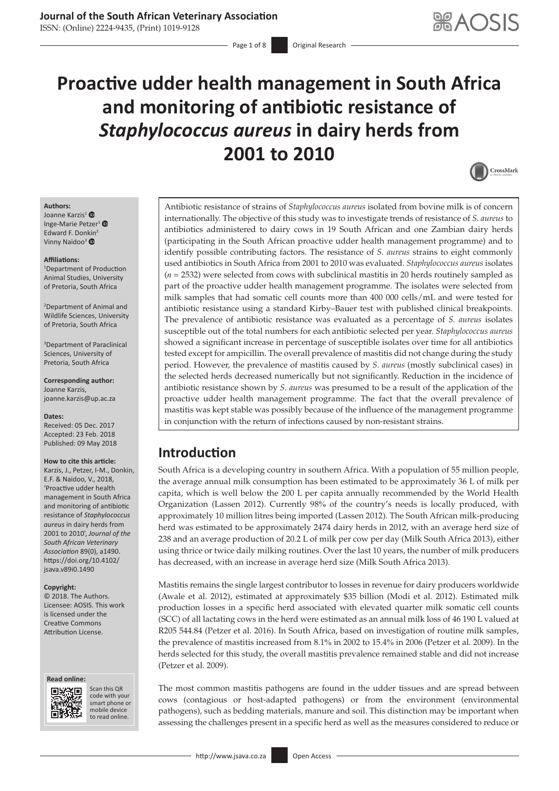# **Proactive udder health management in South Africa and monitoring of antibiotic resistance of**  *Staphylococcus aureus* **in dairy herds from 2001 to 2010**



#### **Authors:**

Joanne Karzis<sup>1</sup> ® Inge-Marie Petzer<sup>1</sup> ® Edward F. Do[nkin](https://orcid.org/0000-0003-2740-5983)<sup>2</sup> Vinny Naidoo<sup>3</sup>

#### **Affiliations:**

1 Department of Production Animal Studies, University of Pretoria, South Africa

2 Department of Animal and Wildlife Sciences, University of Pretoria, South Africa

3 Department of Paraclinical Sciences, University of Pretoria, South Africa

**Corresponding author:** Joanne Karzis, [joanne.karzis@up.ac.za](mailto:joanne.karzis@up.ac.za)

#### **Dates:**

Received: 05 Dec. 2017 Accepted: 23 Feb. 2018 Published: 09 May 2018

#### **How to cite this article:**

Karzis, J., Petzer, I-M., Donkin, E.F. & Naidoo, V., 2018, 'Proactive udder health management in South Africa and monitoring of antibiotic resistance of *Staphylococcus aureus* in dairy herds from 2001 to 2010', *Journal of the South African Veterinary Association* 89(0), a1490. [https://doi.org/10.4102/](https://doi.org/10.4102/jsava.v89i0.1490) [jsava.v89i0.1490](https://doi.org/10.4102/jsava.v89i0.1490)

#### **Copyright:**

© 2018. The Authors. Licensee: AOSIS. This work is licensed under the Creative Commons Attribution License.





Scan this QR code with your Scan this QR<br>code with your<br>smart phone or<br>mobile device mobile device to read online. to read online.

Antibiotic resistance of strains of *Staphylococcus aureus* isolated from bovine milk is of concern internationally. The objective of this study was to investigate trends of resistance of *S. aureus* to antibiotics administered to dairy cows in 19 South African and one Zambian dairy herds (participating in the South African proactive udder health management programme) and to identify possible contributing factors. The resistance of *S. aureus* strains to eight commonly used antibiotics in South Africa from 2001 to 2010 was evaluated. *Staphylococcus aureus* isolates (*n* = 2532) were selected from cows with subclinical mastitis in 20 herds routinely sampled as part of the proactive udder health management programme. The isolates were selected from milk samples that had somatic cell counts more than 400 000 cells/mL and were tested for antibiotic resistance using a standard Kirby–Bauer test with published clinical breakpoints. The prevalence of antibiotic resistance was evaluated as a percentage of *S. aureus* isolates susceptible out of the total numbers for each antibiotic selected per year. *Staphylococcus aureus* showed a significant increase in percentage of susceptible isolates over time for all antibiotics tested except for ampicillin. The overall prevalence of mastitis did not change during the study period. However, the prevalence of mastitis caused by *S. aureus* (mostly subclinical cases) in the selected herds decreased numerically but not significantly. Reduction in the incidence of antibiotic resistance shown by *S. aureus* was presumed to be a result of the application of the proactive udder health management programme. The fact that the overall prevalence of mastitis was kept stable was possibly because of the influence of the management programme in conjunction with the return of infections caused by non-resistant strains.

# **Introduction**

South Africa is a developing country in southern Africa. With a population of 55 million people, the average annual milk consumption has been estimated to be approximately 36 L of milk per capita, which is well below the 200 L per capita annually recommended by the World Health Organization (Lassen 2012). Currently 98% of the country's needs is locally produced, with approximately 10 million litres being imported (Lassen 2012). The South African milk-producing herd was estimated to be approximately 2474 dairy herds in 2012, with an average herd size of 238 and an average production of 20.2 L of milk per cow per day (Milk South Africa 2013), either using thrice or twice daily milking routines. Over the last 10 years, the number of milk producers has decreased, with an increase in average herd size (Milk South Africa 2013).

Mastitis remains the single largest contributor to losses in revenue for dairy producers worldwide (Awale et al. 2012), estimated at approximately \$35 billion (Modi et al. 2012). Estimated milk production losses in a specific herd associated with elevated quarter milk somatic cell counts (SCC) of all lactating cows in the herd were estimated as an annual milk loss of 46 190 L valued at R205 544.84 (Petzer et al. 2016). In South Africa, based on investigation of routine milk samples, the prevalence of mastitis increased from 8.1% in 2002 to 15.4% in 2006 (Petzer et al. 2009). In the herds selected for this study, the overall mastitis prevalence remained stable and did not increase (Petzer et al. 2009).

The most common mastitis pathogens are found in the udder tissues and are spread between cows (contagious or host-adapted pathogens) or from the environment (environmental pathogens), such as bedding materials, manure and soil. This distinction may be important when assessing the challenges present in a specific herd as well as the measures considered to reduce or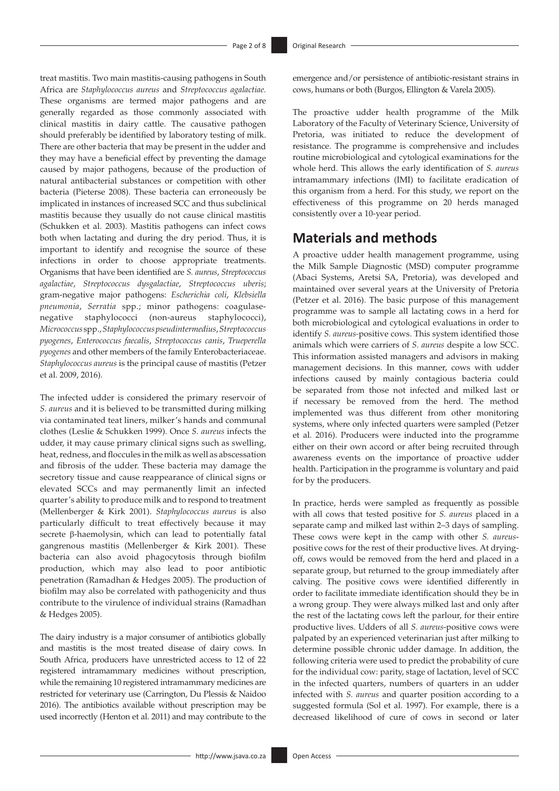treat mastitis. Two main mastitis-causing pathogens in South Africa are *Staphylococcus aureus* and *Streptococcus agalactiae.* These organisms are termed major pathogens and are generally regarded as those commonly associated with clinical mastitis in dairy cattle. The causative pathogen should preferably be identified by laboratory testing of milk. There are other bacteria that may be present in the udder and they may have a beneficial effect by preventing the damage caused by major pathogens, because of the production of natural antibacterial substances or competition with other bacteria (Pieterse 2008). These bacteria can erroneously be implicated in instances of increased SCC and thus subclinical mastitis because they usually do not cause clinical mastitis (Schukken et al. 2003). Mastitis pathogens can infect cows both when lactating and during the dry period. Thus, it is important to identify and recognise the source of these infections in order to choose appropriate treatments. Organisms that have been identified are *S. aureus*, *Streptococcus agalactiae*, *Streptococcus dysgalactiae*, *Streptococcus uberis*; gram-negative major pathogens: *Escherichia coli*, *Klebsiella pneumonia*, *Serratia* spp.; minor pathogens: coagulasenegative staphylococci (non-aureus staphylococci), *Micrococcus* spp., *Staphylococcus pseudintermedius*, *Streptococcus pyogenes*, *Enterococcus faecalis*, *Streptococcus canis*, *Trueperella pyogenes* and other members of the family Enterobacteriaceae. *Staphylococcus aureus* is the principal cause of mastitis (Petzer et al. 2009, 2016).

The infected udder is considered the primary reservoir of *S. aureus* and it is believed to be transmitted during milking via contaminated teat liners, milker's hands and communal clothes (Leslie & Schukken 1999). Once *S. aureus* infects the udder, it may cause primary clinical signs such as swelling, heat, redness, and floccules in the milk as well as abscessation and fibrosis of the udder. These bacteria may damage the secretory tissue and cause reappearance of clinical signs or elevated SCCs and may permanently limit an infected quarter's ability to produce milk and to respond to treatment (Mellenberger & Kirk 2001). *Staphylococcus aureus* is also particularly difficult to treat effectively because it may secrete β-haemolysin, which can lead to potentially fatal gangrenous mastitis (Mellenberger & Kirk 2001). These bacteria can also avoid phagocytosis through biofilm production, which may also lead to poor antibiotic penetration (Ramadhan & Hedges 2005). The production of biofilm may also be correlated with pathogenicity and thus contribute to the virulence of individual strains (Ramadhan & Hedges 2005).

The dairy industry is a major consumer of antibiotics globally and mastitis is the most treated disease of dairy cows. In South Africa, producers have unrestricted access to 12 of 22 registered intramammary medicines without prescription, while the remaining 10 registered intramammary medicines are restricted for veterinary use (Carrington, Du Plessis & Naidoo 2016). The antibiotics available without prescription may be used incorrectly (Henton et al. 2011) and may contribute to the

emergence and/or persistence of antibiotic-resistant strains in cows, humans or both (Burgos, Ellington & Varela 2005).

The proactive udder health programme of the Milk Laboratory of the Faculty of Veterinary Science, University of Pretoria, was initiated to reduce the development of resistance. The programme is comprehensive and includes routine microbiological and cytological examinations for the whole herd. This allows the early identification of *S. aureus* intramammary infections (IMI) to facilitate eradication of this organism from a herd. For this study, we report on the effectiveness of this programme on 20 herds managed consistently over a 10-year period.

# **Materials and methods**

A proactive udder health management programme, using the Milk Sample Diagnostic (MSD) computer programme (Abaci Systems, Aretsi SA, Pretoria), was developed and maintained over several years at the University of Pretoria (Petzer et al. 2016). The basic purpose of this management programme was to sample all lactating cows in a herd for both microbiological and cytological evaluations in order to identify *S. aureus-*positive cows. This system identified those animals which were carriers of *S. aureus* despite a low SCC. This information assisted managers and advisors in making management decisions. In this manner, cows with udder infections caused by mainly contagious bacteria could be separated from those not infected and milked last or if necessary be removed from the herd. The method implemented was thus different from other monitoring systems, where only infected quarters were sampled (Petzer et al. 2016). Producers were inducted into the programme either on their own accord or after being recruited through awareness events on the importance of proactive udder health. Participation in the programme is voluntary and paid for by the producers.

In practice, herds were sampled as frequently as possible with all cows that tested positive for *S. aureus* placed in a separate camp and milked last within 2–3 days of sampling. These cows were kept in the camp with other *S. aureus*positive cows for the rest of their productive lives. At dryingoff, cows would be removed from the herd and placed in a separate group, but returned to the group immediately after calving. The positive cows were identified differently in order to facilitate immediate identification should they be in a wrong group. They were always milked last and only after the rest of the lactating cows left the parlour, for their entire productive lives. Udders of all *S. aureus*-positive cows were palpated by an experienced veterinarian just after milking to determine possible chronic udder damage. In addition, the following criteria were used to predict the probability of cure for the individual cow: parity, stage of lactation, level of SCC in the infected quarters, numbers of quarters in an udder infected with *S. aureus* and quarter position according to a suggested formula (Sol et al. 1997). For example, there is a decreased likelihood of cure of cows in second or later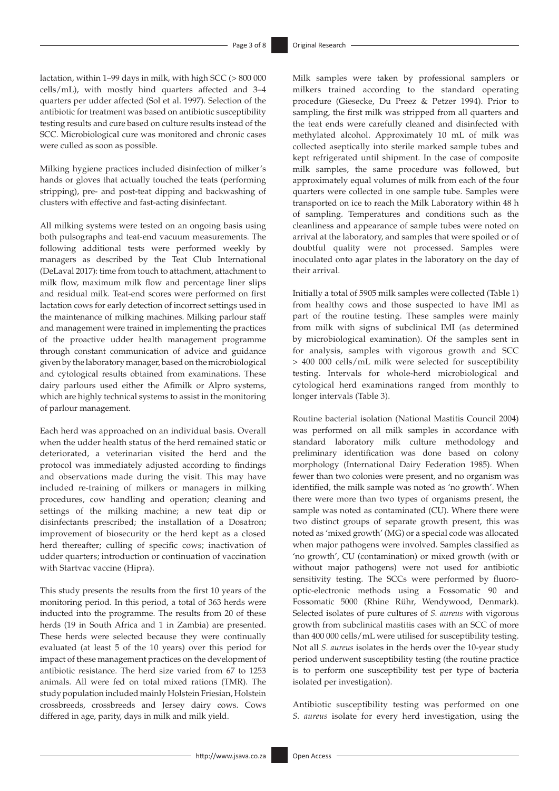lactation, within 1–99 days in milk, with high SCC (> 800 000 cells/mL), with mostly hind quarters affected and 3–4 quarters per udder affected (Sol et al. 1997). Selection of the antibiotic for treatment was based on antibiotic susceptibility testing results and cure based on culture results instead of the SCC. Microbiological cure was monitored and chronic cases were culled as soon as possible.

Milking hygiene practices included disinfection of milker's hands or gloves that actually touched the teats (performing stripping), pre- and post-teat dipping and backwashing of clusters with effective and fast-acting disinfectant.

All milking systems were tested on an ongoing basis using both pulsographs and teat-end vacuum measurements. The following additional tests were performed weekly by managers as described by the Teat Club International (DeLaval 2017): time from touch to attachment, attachment to milk flow, maximum milk flow and percentage liner slips and residual milk. Teat-end scores were performed on first lactation cows for early detection of incorrect settings used in the maintenance of milking machines. Milking parlour staff and management were trained in implementing the practices of the proactive udder health management programme through constant communication of advice and guidance given by the laboratory manager, based on the microbiological and cytological results obtained from examinations. These dairy parlours used either the Afimilk or Alpro systems, which are highly technical systems to assist in the monitoring of parlour management.

Each herd was approached on an individual basis. Overall when the udder health status of the herd remained static or deteriorated, a veterinarian visited the herd and the protocol was immediately adjusted according to findings and observations made during the visit. This may have included re-training of milkers or managers in milking procedures, cow handling and operation; cleaning and settings of the milking machine; a new teat dip or disinfectants prescribed; the installation of a Dosatron; improvement of biosecurity or the herd kept as a closed herd thereafter; culling of specific cows; inactivation of udder quarters; introduction or continuation of vaccination with Startvac vaccine (Hipra).

This study presents the results from the first 10 years of the monitoring period. In this period, a total of 363 herds were inducted into the programme. The results from 20 of these herds (19 in South Africa and 1 in Zambia) are presented. These herds were selected because they were continually evaluated (at least 5 of the 10 years) over this period for impact of these management practices on the development of antibiotic resistance. The herd size varied from 67 to 1253 animals. All were fed on total mixed rations (TMR). The study population included mainly Holstein Friesian, Holstein crossbreeds, crossbreeds and Jersey dairy cows. Cows differed in age, parity, days in milk and milk yield.

Milk samples were taken by professional samplers or milkers trained according to the standard operating procedure (Giesecke, Du Preez & Petzer 1994). Prior to sampling, the first milk was stripped from all quarters and the teat ends were carefully cleaned and disinfected with methylated alcohol. Approximately 10 mL of milk was collected aseptically into sterile marked sample tubes and kept refrigerated until shipment. In the case of composite milk samples, the same procedure was followed, but approximately equal volumes of milk from each of the four quarters were collected in one sample tube. Samples were transported on ice to reach the Milk Laboratory within 48 h of sampling. Temperatures and conditions such as the cleanliness and appearance of sample tubes were noted on arrival at the laboratory, and samples that were spoiled or of doubtful quality were not processed. Samples were inoculated onto agar plates in the laboratory on the day of their arrival.

Initially a total of 5905 milk samples were collected (Table 1) from healthy cows and those suspected to have IMI as part of the routine testing. These samples were mainly from milk with signs of subclinical IMI (as determined by microbiological examination). Of the samples sent in for analysis, samples with vigorous growth and SCC > 400 000 cells/mL milk were selected for susceptibility testing. Intervals for whole-herd microbiological and cytological herd examinations ranged from monthly to longer intervals (Table 3).

Routine bacterial isolation (National Mastitis Council 2004) was performed on all milk samples in accordance with standard laboratory milk culture methodology and preliminary identification was done based on colony morphology (International Dairy Federation 1985). When fewer than two colonies were present, and no organism was identified, the milk sample was noted as 'no growth'. When there were more than two types of organisms present, the sample was noted as contaminated (CU). Where there were two distinct groups of separate growth present, this was noted as 'mixed growth' (MG) or a special code was allocated when major pathogens were involved. Samples classified as 'no growth', CU (contamination) or mixed growth (with or without major pathogens) were not used for antibiotic sensitivity testing. The SCCs were performed by fluorooptic-electronic methods using a Fossomatic 90 and Fossomatic 5000 (Rhine Rühr, Wendywood, Denmark). Selected isolates of pure cultures of *S. aureus* with vigorous growth from subclinical mastitis cases with an SCC of more than 400 000 cells/mL were utilised for susceptibility testing. Not all *S. aureus* isolates in the herds over the 10-year study period underwent susceptibility testing (the routine practice is to perform one susceptibility test per type of bacteria isolated per investigation).

Antibiotic susceptibility testing was performed on one *S. aureus* isolate for every herd investigation, using the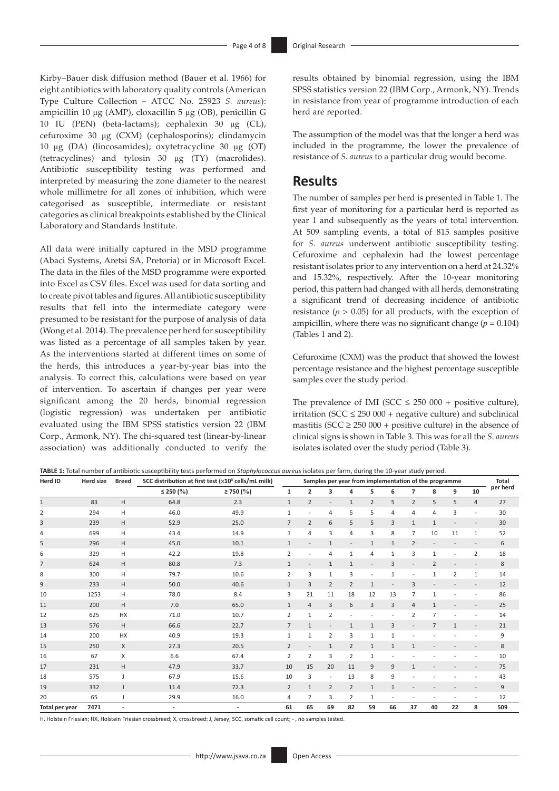Kirby–Bauer disk diffusion method (Bauer et al. 1966) for eight antibiotics with laboratory quality controls (American Type Culture Collection – ATCC No. 25923 *S. aureus*): ampicillin 10 μg (AMP), cloxacillin 5 μg (OB), penicillin G 10 IU (PEN) (beta-lactams); cephalexin 30 μg (CL), cefuroxime 30 μg (CXM) (cephalosporins); clindamycin 10 μg (DA) (lincosamides); oxytetracycline 30 μg (OT) (tetracyclines) and tylosin 30 μg (TY) (macrolides). Antibiotic susceptibility testing was performed and interpreted by measuring the zone diameter to the nearest whole millimetre for all zones of inhibition, which were categorised as susceptible, intermediate or resistant categories as clinical breakpoints established by the Clinical Laboratory and Standards Institute.

All data were initially captured in the MSD programme (Abaci Systems, Aretsi SA, Pretoria) or in Microsoft Excel. The data in the files of the MSD programme were exported into Excel as CSV files. Excel was used for data sorting and to create pivot tables and figures. All antibiotic susceptibility results that fell into the intermediate category were presumed to be resistant for the purpose of analysis of data (Wong et al. 2014). The prevalence per herd for susceptibility was listed as a percentage of all samples taken by year. As the interventions started at different times on some of the herds, this introduces a year-by-year bias into the analysis. To correct this, calculations were based on year of intervention. To ascertain if changes per year were significant among the 20 herds, binomial regression (logistic regression) was undertaken per antibiotic evaluated using the IBM SPSS statistics version 22 (IBM Corp., Armonk, NY). The chi-squared test (linear-by-linear association) was additionally conducted to verify the

results obtained by binomial regression, using the IBM SPSS statistics version 22 (IBM Corp., Armonk, NY). Trends in resistance from year of programme introduction of each herd are reported.

The assumption of the model was that the longer a herd was included in the programme, the lower the prevalence of resistance of *S. aureus* to a particular drug would become.

### **Results**

The number of samples per herd is presented in Table 1. The first year of monitoring for a particular herd is reported as year 1 and subsequently as the years of total intervention. At 509 sampling events, a total of 815 samples positive for *S. aureus* underwent antibiotic susceptibility testing. Cefuroxime and cephalexin had the lowest percentage resistant isolates prior to any intervention on a herd at 24.32% and 15.32%, respectively. After the 10-year monitoring period, this pattern had changed with all herds, demonstrating a significant trend of decreasing incidence of antibiotic resistance  $(p > 0.05)$  for all products, with the exception of ampicillin, where there was no significant change  $(p = 0.104)$ (Tables 1 and 2).

Cefuroxime (CXM) was the product that showed the lowest percentage resistance and the highest percentage susceptible samples over the study period.

The prevalence of IMI (SCC  $\leq$  250 000 + positive culture), irritation (SCC  $\leq$  250 000 + negative culture) and subclinical mastitis (SCC  $\geq$  250 000 + positive culture) in the absence of clinical signs is shown in Table 3. This was for all the *S. aureus* isolates isolated over the study period (Table 3).

| Herd ID        | <b>Herd size</b> | <b>Breed</b> | SCC distribution at first test $(x103$ cells/mL milk) |                |                | Samples per year from implementation of the programme |                          |                          |                          |                          |                          |                |                |                          | Total    |
|----------------|------------------|--------------|-------------------------------------------------------|----------------|----------------|-------------------------------------------------------|--------------------------|--------------------------|--------------------------|--------------------------|--------------------------|----------------|----------------|--------------------------|----------|
|                |                  |              | ≤ 250 (%)                                             | $\geq$ 750 (%) | $\mathbf{1}$   | $\overline{2}$                                        | з                        | 4                        | 5                        | 6                        | $\overline{7}$           | 8              | 9              | 10                       | per herd |
| $\mathbf{1}$   | 83               | H            | 64.8                                                  | 2.3            | $\mathbf{1}$   | $\overline{2}$                                        | $\overline{\phantom{a}}$ | $\mathbf{1}$             | $\overline{2}$           | 5                        | $\overline{2}$           | 5              | 5              | $\overline{4}$           | 27       |
| 2              | 294              | H.           | 46.0                                                  | 49.9           | 1              | $\overline{\phantom{a}}$                              | $\overline{4}$           | 5                        | 5                        | 4                        | 4                        | 4              | 3              | $\overline{\phantom{a}}$ | 30       |
| 3              | 239              | H            | 52.9                                                  | 25.0           | $\overline{7}$ | $\overline{2}$                                        | 6                        | 5                        | 5                        | 3                        | $\mathbf{1}$             | $\mathbf{1}$   |                | $\overline{\phantom{a}}$ | 30       |
| 4              | 699              | H            | 43.4                                                  | 14.9           | $\mathbf{1}$   | 4                                                     | 3                        | 4                        | 3                        | 8                        | $\overline{7}$           | 10             | 11             | 1                        | 52       |
| 5              | 296              | H            | 45.0                                                  | 10.1           | $\mathbf{1}$   | $\overline{\phantom{a}}$                              | $\mathbf{1}$             | $\overline{\phantom{a}}$ | $\mathbf{1}$             | $\mathbf{1}$             | $\overline{2}$           |                |                | $\overline{\phantom{a}}$ | 6        |
| 6              | 329              | H            | 42.2                                                  | 19.8           | 2              | $\overline{\phantom{a}}$                              | $\overline{4}$           | $\mathbf{1}$             | 4                        | $\mathbf{1}$             | 3                        | $\mathbf{1}$   | ۰              | $\overline{2}$           | 18       |
| $\overline{7}$ | 624              | H            | 80.8                                                  | 7.3            | $\mathbf{1}$   | $\overline{\phantom{a}}$                              | $\mathbf{1}$             | $\mathbf{1}$             | $\overline{\phantom{a}}$ | 3                        | $\overline{\phantom{a}}$ | $\overline{2}$ |                | $\overline{\phantom{a}}$ | 8        |
| 8              | 300              | H            | 79.7                                                  | 10.6           | $\overline{2}$ | 3                                                     | $\mathbf{1}$             | 3                        | $\sim$                   | $\mathbf{1}$             | $\sim$                   | $\mathbf{1}$   | $\overline{2}$ | $\mathbf{1}$             | 14       |
| 9              | 233              | H            | 50.0                                                  | 40.6           | $\mathbf{1}$   | 3                                                     | 2                        | $\overline{2}$           | $\mathbf{1}$             | $\overline{\phantom{a}}$ | 3                        |                |                | $\overline{a}$           | 12       |
| 10             | 1253             | H            | 78.0                                                  | 8.4            | 3              | 21                                                    | 11                       | 18                       | 12                       | 13                       | $\overline{7}$           | 1              |                | $\overline{\phantom{a}}$ | 86       |
| 11             | 200              | H            | 7.0                                                   | 65.0           | $\mathbf{1}$   | $\overline{4}$                                        | 3                        | 6                        | 3                        | 3                        | $\overline{4}$           | $\mathbf{1}$   |                | $\overline{\phantom{0}}$ | 25       |
| 12             | 625              | HX           | 71.0                                                  | 10.7           | 2              | $\mathbf{1}$                                          | $\overline{2}$           |                          |                          | $\overline{\phantom{a}}$ | 2                        | $\overline{7}$ |                | $\overline{\phantom{a}}$ | 14       |
| 13             | 576              | H            | 66.6                                                  | 22.7           | $\overline{7}$ | $\mathbf{1}$                                          | $\overline{\phantom{a}}$ | $\mathbf{1}$             | $\mathbf{1}$             | 3                        | $\overline{\phantom{0}}$ | $\overline{7}$ | $\mathbf{1}$   | $\overline{\phantom{a}}$ | 21       |
| 14             | 200              | HX           | 40.9                                                  | 19.3           | $\mathbf{1}$   | $\mathbf{1}$                                          | 2                        | 3                        | $\mathbf{1}$             | $\mathbf{1}$             |                          |                |                | $\overline{\phantom{a}}$ | 9        |
| 15             | 250              | X            | 27.3                                                  | 20.5           | $\overline{2}$ | $\overline{\phantom{a}}$                              | $\mathbf{1}$             | $\overline{2}$           | $\mathbf{1}$             | $\mathbf{1}$             | $\mathbf{1}$             |                |                |                          | 8        |
| 16             | 67               | X            | 6.6                                                   | 67.4           | 2              | $\overline{2}$                                        | 3                        | 2                        | $\mathbf{1}$             |                          |                          |                |                | $\overline{a}$           | 10       |
| 17             | 231              | H            | 47.9                                                  | 33.7           | 10             | 15                                                    | 20                       | 11                       | 9                        | 9                        | $\mathbf{1}$             |                |                | $\overline{\phantom{a}}$ | 75       |
| 18             | 575              | J            | 67.9                                                  | 15.6           | 10             | 3                                                     | $\overline{a}$           | 13                       | 8                        | 9                        |                          |                |                | $\overline{\phantom{a}}$ | 43       |
| 19             | 332              | J            | 11.4                                                  | 72.3           | $\overline{2}$ | $\mathbf{1}$                                          | $\overline{2}$           | $\overline{2}$           | $\mathbf{1}$             | $\mathbf{1}$             |                          |                |                |                          | 9        |
| 20             | 65               | J            | 29.9                                                  | 16.0           | 4              | 2                                                     | 3                        | $\overline{2}$           | $\mathbf{1}$             | $\sim$                   | $\overline{\phantom{a}}$ | -              |                | $\overline{\phantom{a}}$ | 12       |
| Total per year | 7471             |              | $\overline{\phantom{a}}$                              |                | 61             | 65                                                    | 69                       | 82                       | 59                       | 66                       | 37                       | 40             | 22             | 8                        | 509      |

**TABLE 1:** Total number of antibiotic susceptibility tests performed on *Staphylococcus aureus* isolates per farm, during the 10-year study period.

H, Holstein Friesian; HX, Holstein Friesian crossbreed; X, crossbreed; J, Jersey; SCC, somatic cell count; - , no samples tested.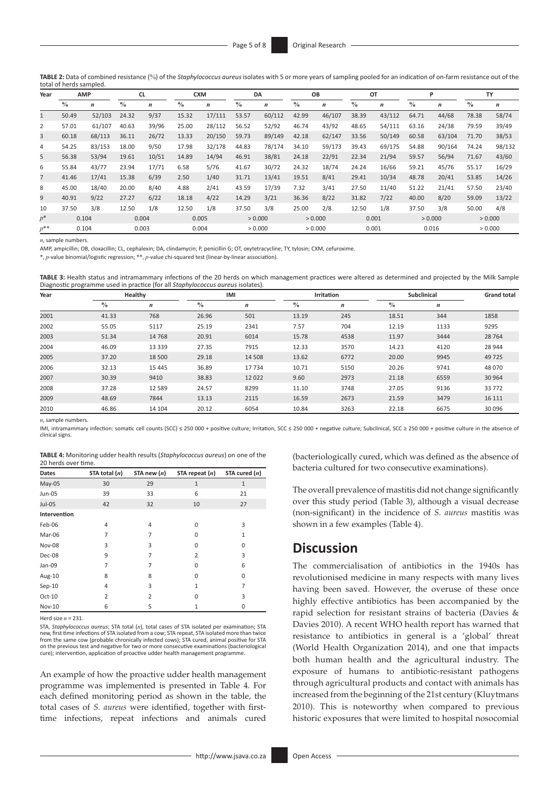**TABLE 2:** Data of combined resistance (%) of the *Staphylococcus aureus* isolates with 5 or more years of sampling pooled for an indication of on-farm resistance out of the total of herds sampled.

| Year           | <b>AMP</b>    |                  | <b>CL</b>     |                  | <b>CXM</b> |                  | DA            |                  | OB            |                  | OT            |                  | P     |                  | <b>TY</b>     |                  |
|----------------|---------------|------------------|---------------|------------------|------------|------------------|---------------|------------------|---------------|------------------|---------------|------------------|-------|------------------|---------------|------------------|
|                | $\frac{0}{0}$ | $\boldsymbol{n}$ | $\frac{0}{0}$ | $\boldsymbol{n}$ | $\%$       | $\boldsymbol{n}$ | $\frac{0}{0}$ | $\boldsymbol{n}$ | $\frac{0}{0}$ | $\boldsymbol{n}$ | $\frac{0}{0}$ | $\boldsymbol{n}$ | $\%$  | $\boldsymbol{n}$ | $\frac{0}{0}$ | $\boldsymbol{n}$ |
| $\mathbf{1}$   | 50.49         | 52/103           | 24.32         | 9/37             | 15.32      | 17/111           | 53.57         | 60/112           | 42.99         | 46/107           | 38.39         | 43/112           | 64.71 | 44/68            | 78.38         | 58/74            |
| $\overline{2}$ | 57.01         | 61/107           | 40.63         | 39/96            | 25.00      | 28/112           | 56.52         | 52/92            | 46.74         | 43/92            | 48.65         | 54/111           | 63.16 | 24/38            | 79.59         | 39/49            |
| 3              | 60.18         | 68/113           | 36.11         | 26/72            | 13.33      | 20/150           | 59.73         | 89/149           | 42.18         | 62/147           | 33.56         | 50/149           | 60.58 | 63/104           | 71.70         | 38/53            |
| 4              | 54.25         | 83/153           | 18.00         | 9/50             | 17.98      | 32/178           | 44.83         | 78/174           | 34.10         | 59/173           | 39.43         | 69/175           | 54.88 | 90/164           | 74.24         | 98/132           |
| 5              | 56.38         | 53/94            | 19.61         | 10/51            | 14.89      | 14/94            | 46.91         | 38/81            | 24.18         | 22/91            | 22.34         | 21/94            | 59.57 | 56/94            | 71.67         | 43/60            |
| 6              | 55.84         | 43/77            | 23.94         | 17/71            | 6.58       | 5/76             | 41.67         | 30/72            | 24.32         | 18/74            | 24.24         | 16/66            | 59.21 | 45/76            | 55.17         | 16/29            |
| $\overline{7}$ | 41.46         | 17/41            | 15.38         | 6/39             | 2.50       | 1/40             | 31.71         | 13/41            | 19.51         | 8/41             | 29.41         | 10/34            | 48.78 | 20/41            | 53.85         | 14/26            |
| 8              | 45.00         | 18/40            | 20.00         | 8/40             | 4.88       | 2/41             | 43.59         | 17/39            | 7.32          | 3/41             | 27.50         | 11/40            | 51.22 | 21/41            | 57.50         | 23/40            |
| 9              | 40.91         | 9/22             | 27.27         | 6/22             | 18.18      | 4/22             | 14.29         | 3/21             | 36.36         | 8/22             | 31.82         | 7/22             | 40.00 | 8/20             | 59.09         | 13/22            |
| 10             | 37.50         | 3/8              | 12.50         | 1/8              | 12.50      | 1/8              | 37.50         | 3/8              | 25.00         | 2/8              | 12.50         | 1/8              | 37.50 | 3/8              | 50.00         | 4/8              |
| $p^*$          | 0.104         |                  |               | 0.004            | 0.005      |                  |               | > 0.000          |               | > 0.000          |               | 0.001            |       | > 0.000          | > 0.000       |                  |
| $p^{**}$       | 0.104         |                  | 0.003         |                  | 0.004      |                  |               | > 0.000          |               | > 0.000          |               | 0.001            |       | 0.016            |               | > 0.000          |

*n*, sample numbers.

AMP, ampicillin; OB, cloxacillin; CL, cephalexin; DA, clindamycin; P, penicillin G; OT, oxytetracycline; TY, tylosin; CXM, cefuroxime.

\*, *p*-value binomial/logistic regression; \*\*, *p*-value chi-squared test (linear-by-linear association).

**TABLE 3:** Health status and intramammary infections of the 20 herds on which management practices were altered as determined and projected by the Milk Sample Diagnostic programme used in practice (for all *Staphylococcus aureus* isolates).

| Year |               | Healthy          |               | IMI              |               | <b>Irritation</b> | <b>Subclinical</b> | <b>Grand total</b> |          |
|------|---------------|------------------|---------------|------------------|---------------|-------------------|--------------------|--------------------|----------|
|      | $\frac{0}{0}$ | $\boldsymbol{n}$ | $\frac{0}{0}$ | $\boldsymbol{n}$ | $\frac{0}{0}$ | $\boldsymbol{n}$  | $\frac{0}{0}$      | $\boldsymbol{n}$   |          |
| 2001 | 41.33         | 768              | 26.96         | 501              | 13.19         | 245               | 18.51              | 344                | 1858     |
| 2002 | 55.05         | 5117             | 25.19         | 2341             | 7.57          | 704               | 12.19              | 1133               | 9295     |
| 2003 | 51.34         | 14768            | 20.91         | 6014             | 15.78         | 4538              | 11.97              | 3444               | 28 7 64  |
| 2004 | 46.09         | 13 3 3 9         | 27.35         | 7915             | 12.33         | 3570              | 14.23              | 4120               | 28 944   |
| 2005 | 37.20         | 18 500           | 29.18         | 14 508           | 13.62         | 6772              | 20.00              | 9945               | 49 7 25  |
| 2006 | 32.13         | 15 4 45          | 36.89         | 17734            | 10.71         | 5150              | 20.26              | 9741               | 48 070   |
| 2007 | 30.39         | 9410             | 38.83         | 12 0 22          | 9.60          | 2973              | 21.18              | 6559               | 30 964   |
| 2008 | 37.28         | 12 5 8 9         | 24.57         | 8299             | 11.10         | 3748              | 27.05              | 9136               | 33 7 7 2 |
| 2009 | 48.69         | 7844             | 13.13         | 2115             | 16.59         | 2673              | 21.59              | 3479               | 16 111   |
| 2010 | 46.86         | 14 104           | 20.12         | 6054             | 10.84         | 3263              | 22.18              | 6675               | 30 096   |

*n*, sample numbers.

IMI, intramammary infection: somatic cell counts (SCC) ≤ 250 000 + positive culture; Irritation, SCC ≤ 250 000 + negative culture; Subclinical, SCC ≥ 250 000 + positive culture in the absence of clinical signs.

**TABLE 4:** Monitoring udder health results (*Staphylococcus aureus*) on one of the 20 herds over time.

| Dates         | STA total $(n)$ | STA new $(n)$ | STA repeat $(n)$ | STA cured (n) |
|---------------|-----------------|---------------|------------------|---------------|
| May-05        | 30              | 29            | $\mathbf{1}$     | $\mathbf{1}$  |
| <b>Jun-05</b> | 39              | 33            | 6                | 21            |
| Jul-05        | 42              | 32            | 10               | 27            |
| Intervention  |                 |               |                  |               |
| Feb-06        | 4               | 4             | $\Omega$         | 3             |
| Mar-06        | 7               | 7             | $\Omega$         | 1             |
| Nov-08        | 3               | 3             | $\Omega$         | U             |
| Dec-08        | 9               | 7             | $\overline{2}$   | 3             |
| Jan-09        | 7               | 7             | $\Omega$         | 6             |
| Aug-10        | 8               | 8             | $\Omega$         | $\Omega$      |
| $Sep-10$      | 4               | 3             | 1                | 7             |
| $Oct-10$      | 2               | 2             | 0                | 3             |
| Nov-10        | 6               | 5             |                  | 0             |

Herd size *n* = 231.

STA, *Staphylococcus aureus*; STA total (*n*), total cases of STA isolated per examination; STA new, first time infections of STA isolated from a cow; STA repeat, STA isolated more than twice from the same cow (probable chronically infected cows); STA cured, animal positive for STA on the previous test and negative for two or more consecutive examinations (bacteriological cure); intervention, application of proactive udder health management programme

An example of how the proactive udder health management programme was implemented is presented in Table 4. For each defined monitoring period as shown in the table, the total cases of *S. aureus* were identified, together with firsttime infections, repeat infections and animals cured

(bacteriologically cured, which was defined as the absence of bacteria cultured for two consecutive examinations).

The overall prevalence of mastitis did not change significantly over this study period (Table 3), although a visual decrease (non-significant) in the incidence of *S. aureus* mastitis was shown in a few examples (Table 4).

### **Discussion**

The commercialisation of antibiotics in the 1940s has revolutionised medicine in many respects with many lives having been saved. However, the overuse of these once highly effective antibiotics has been accompanied by the rapid selection for resistant strains of bacteria (Davies & Davies 2010). A recent WHO health report has warned that resistance to antibiotics in general is a 'global' threat (World Health Organization 2014), and one that impacts both human health and the agricultural industry. The exposure of humans to antibiotic-resistant pathogens through agricultural products and contact with animals has increased from the beginning of the 21st century (Kluytmans 2010). This is noteworthy when compared to previous historic exposures that were limited to hospital nosocomial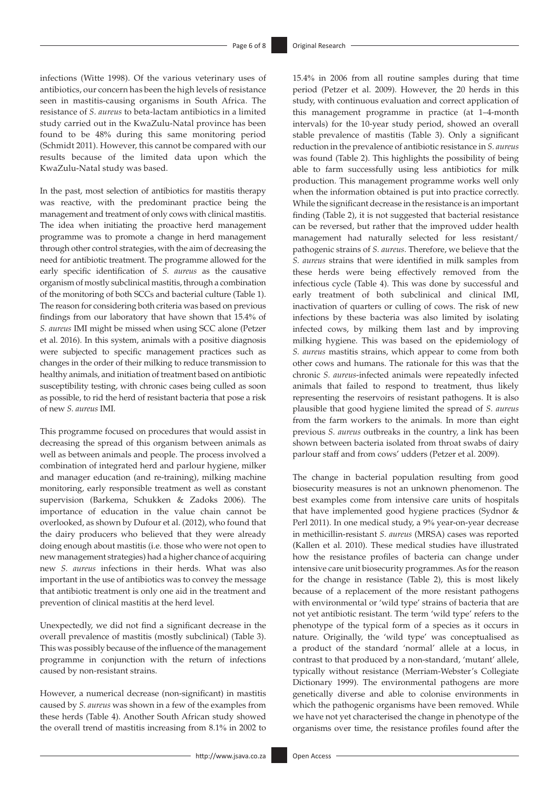infections (Witte 1998). Of the various veterinary uses of antibiotics, our concern has been the high levels of resistance seen in mastitis-causing organisms in South Africa. The resistance of *S. aureus* to beta-lactam antibiotics in a limited study carried out in the KwaZulu-Natal province has been found to be 48% during this same monitoring period (Schmidt 2011). However, this cannot be compared with our results because of the limited data upon which the KwaZulu-Natal study was based.

In the past, most selection of antibiotics for mastitis therapy was reactive, with the predominant practice being the management and treatment of only cows with clinical mastitis. The idea when initiating the proactive herd management programme was to promote a change in herd management through other control strategies, with the aim of decreasing the need for antibiotic treatment. The programme allowed for the early specific identification of *S. aureus* as the causative organism of mostly subclinical mastitis, through a combination of the monitoring of both SCCs and bacterial culture (Table 1). The reason for considering both criteria was based on previous findings from our laboratory that have shown that 15.4% of *S. aureus* IMI might be missed when using SCC alone (Petzer et al. 2016). In this system, animals with a positive diagnosis were subjected to specific management practices such as changes in the order of their milking to reduce transmission to healthy animals, and initiation of treatment based on antibiotic susceptibility testing, with chronic cases being culled as soon as possible, to rid the herd of resistant bacteria that pose a risk of new *S. aureus* IMI.

This programme focused on procedures that would assist in decreasing the spread of this organism between animals as well as between animals and people. The process involved a combination of integrated herd and parlour hygiene, milker and manager education (and re-training), milking machine monitoring, early responsible treatment as well as constant supervision (Barkema, Schukken & Zadoks 2006). The importance of education in the value chain cannot be overlooked, as shown by Dufour et al. (2012), who found that the dairy producers who believed that they were already doing enough about mastitis (i.e. those who were not open to new management strategies) had a higher chance of acquiring new *S. aureus* infections in their herds. What was also important in the use of antibiotics was to convey the message that antibiotic treatment is only one aid in the treatment and prevention of clinical mastitis at the herd level.

Unexpectedly, we did not find a significant decrease in the overall prevalence of mastitis (mostly subclinical) (Table 3). This was possibly because of the influence of the management programme in conjunction with the return of infections caused by non-resistant strains.

However, a numerical decrease (non-significant) in mastitis caused by *S. aureus* was shown in a few of the examples from these herds (Table 4). Another South African study showed the overall trend of mastitis increasing from 8.1% in 2002 to

15.4% in 2006 from all routine samples during that time period (Petzer et al. 2009). However, the 20 herds in this study, with continuous evaluation and correct application of this management programme in practice (at 1–4-month intervals) for the 10-year study period, showed an overall stable prevalence of mastitis (Table 3). Only a significant reduction in the prevalence of antibiotic resistance in *S. aureus*  was found (Table 2). This highlights the possibility of being able to farm successfully using less antibiotics for milk production. This management programme works well only when the information obtained is put into practice correctly. While the significant decrease in the resistance is an important finding (Table 2), it is not suggested that bacterial resistance can be reversed, but rather that the improved udder health management had naturally selected for less resistant/ pathogenic strains of *S. aureus*. Therefore, we believe that the *S. aureus* strains that were identified in milk samples from these herds were being effectively removed from the infectious cycle (Table 4). This was done by successful and early treatment of both subclinical and clinical IMI, inactivation of quarters or culling of cows. The risk of new infections by these bacteria was also limited by isolating infected cows, by milking them last and by improving milking hygiene. This was based on the epidemiology of *S. aureus* mastitis strains, which appear to come from both other cows and humans. The rationale for this was that the chronic *S. aureus*-infected animals were repeatedly infected animals that failed to respond to treatment, thus likely representing the reservoirs of resistant pathogens. It is also plausible that good hygiene limited the spread of *S. aureus* from the farm workers to the animals. In more than eight previous *S. aureus* outbreaks in the country, a link has been shown between bacteria isolated from throat swabs of dairy parlour staff and from cows' udders (Petzer et al. 2009).

The change in bacterial population resulting from good biosecurity measures is not an unknown phenomenon. The best examples come from intensive care units of hospitals that have implemented good hygiene practices (Sydnor & Perl 2011). In one medical study, a 9% year-on-year decrease in methicillin-resistant *S. aureus* (MRSA) cases was reported (Kallen et al. 2010). These medical studies have illustrated how the resistance profiles of bacteria can change under intensive care unit biosecurity programmes. As for the reason for the change in resistance (Table 2), this is most likely because of a replacement of the more resistant pathogens with environmental or 'wild type' strains of bacteria that are not yet antibiotic resistant. The term 'wild type' refers to the phenotype of the typical form of a species as it occurs in nature. Originally, the 'wild type' was conceptualised as a product of the standard 'normal' allele at a locus, in contrast to that produced by a non-standard, 'mutant' allele, typically without resistance (Merriam-Webster's Collegiate Dictionary 1999). The environmental pathogens are more genetically diverse and able to colonise environments in which the pathogenic organisms have been removed. While we have not yet characterised the change in phenotype of the organisms over time, the resistance profiles found after the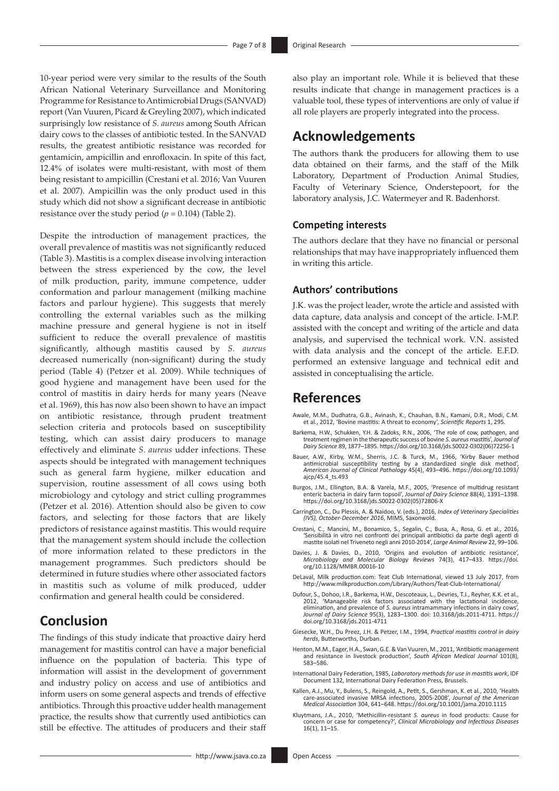10-year period were very similar to the results of the South African National Veterinary Surveillance and Monitoring Programme for Resistance to Antimicrobial Drugs (SANVAD) report (Van Vuuren, Picard & Greyling 2007), which indicated surprisingly low resistance of *S. aureus* among South African dairy cows to the classes of antibiotic tested. In the SANVAD results, the greatest antibiotic resistance was recorded for gentamicin, ampicillin and enrofloxacin. In spite of this fact, 12.4% of isolates were multi-resistant, with most of them being resistant to ampicillin (Crestani et al. 2016; Van Vuuren et al. 2007). Ampicillin was the only product used in this study which did not show a significant decrease in antibiotic resistance over the study period  $(p = 0.104)$  (Table 2).

Despite the introduction of management practices, the overall prevalence of mastitis was not significantly reduced (Table 3). Mastitis is a complex disease involving interaction between the stress experienced by the cow, the level of milk production, parity, immune competence, udder conformation and parlour management (milking machine factors and parlour hygiene). This suggests that merely controlling the external variables such as the milking machine pressure and general hygiene is not in itself sufficient to reduce the overall prevalence of mastitis significantly, although mastitis caused by *S. aureus* decreased numerically (non-significant) during the study period (Table 4) (Petzer et al. 2009). While techniques of good hygiene and management have been used for the control of mastitis in dairy herds for many years (Neave et al. 1969), this has now also been shown to have an impact on antibiotic resistance, through prudent treatment selection criteria and protocols based on susceptibility testing, which can assist dairy producers to manage effectively and eliminate *S. aureus* udder infections. These aspects should be integrated with management techniques such as general farm hygiene, milker education and supervision, routine assessment of all cows using both microbiology and cytology and strict culling programmes (Petzer et al*.* 2016). Attention should also be given to cow factors, and selecting for those factors that are likely predictors of resistance against mastitis. This would require that the management system should include the collection of more information related to these predictors in the management programmes. Such predictors should be determined in future studies where other associated factors in mastitis such as volume of milk produced, udder confirmation and general health could be considered.

## **Conclusion**

The findings of this study indicate that proactive dairy herd management for mastitis control can have a major beneficial influence on the population of bacteria. This type of information will assist in the development of government and industry policy on access and use of antibiotics and inform users on some general aspects and trends of effective antibiotics. Through this proactive udder health management practice, the results show that currently used antibiotics can still be effective. The attitudes of producers and their staff also play an important role. While it is believed that these results indicate that change in management practices is a valuable tool, these types of interventions are only of value if all role players are properly integrated into the process.

### **Acknowledgements**

The authors thank the producers for allowing them to use data obtained on their farms, and the staff of the Milk Laboratory, Department of Production Animal Studies, Faculty of Veterinary Science, Onderstepoort, for the laboratory analysis, J.C. Watermeyer and R. Badenhorst.

#### **Competing interests**

The authors declare that they have no financial or personal relationships that may have inappropriately influenced them in writing this article.

#### **Authors' contributions**

J.K. was the project leader, wrote the article and assisted with data capture, data analysis and concept of the article. I-M.P. assisted with the concept and writing of the article and data analysis, and supervised the technical work. V.N. assisted with data analysis and the concept of the article. E.F.D. performed an extensive language and technical edit and assisted in conceptualising the article.

### **References**

- Awale, M.M., Dudhatra, G.B., Avinash, K., Chauhan, B.N., Kamani, D.R., Modi, C.M. et al*.*, 2012, 'Bovine mastitis: A threat to economy', *Scientific Reports* 1, 295.
- Barkema, H.W., Schukken, Y.H. & Zadoks, R.N., 2006, 'The role of cow, pathogen, and treatment regimen in the therapeutic success of bovine *S. aureus* mastitis', *Journal of Dairy Science* 89, 1877–1895. [https://doi.org/10.3168/jds.S0022-0302\(06\)72256-1](https://doi.org/10.3168/jds.S0022-0302(06)72256-1)
- Bauer, A.W., Kirby, W.M., Sherris, J.C. & Turck, M., 1966, 'Kirby Bauer method<br>antimicrobial susceptibility testing by a standardized single disk method',<br>American Journal of Clinical Pathology 45(4), 493–496. https://doi. [ajcp/45.4\\_ts.493](https://doi.org/10.1093/ajcp/45.4_ts.493)
- Burgos, J.M., Ellington, B.A. & Varela, M.F., 2005, 'Presence of multidrug resistant enteric bacteria in dairy farm topsoil', *Journal of Dairy Science* 88(4), 1391–1398. [https://doi.org/10.3168/jds.S0022-0302\(05\)72806-X](https://doi.org/10.3168/jds.S0022-0302(05)72806-X)
- Carrington, C., Du Plessis, A. & Naidoo, V. (eds.), 2016, *Index of Veterinary Specialities (IVS), October-December 2016*, MIMS, Saxonwold.
- Crestani, C., Mancini, M., Bonamico, S., Segalin, C., Busa, A., Rosa, G. et al*.*, 2016, 'Sensibilità in vitro nei confronti dei principali antibiotici da parte degli agenti di mastite isolati nel Triveneto negli anni 2010-2014', *Large Animal Review* 22, 99–106.
- Davies, J. & Davies, D., 2010, 'Origins and evolution of antibiotic resistance', *Microbiology and Molecular Biology Reviews* 74(3), 417–433. [https://doi.](https://doi.org/10.1128/MMBR.00016-10) [org/10.1128/MMBR.00016-10](https://doi.org/10.1128/MMBR.00016-10)
- DeLaval, Milk [production.com:](production.com) Teat Club International, viewed 13 July 2017, from <http://www.milkproduction.com/Library/Authors/Teat-Club-International/>
- Dufour, S., Dohoo, I.R., Barkema, H.W., Descoteaux, L., Devries, T.J., Reyher, K.K. et al*.*, 'Manageable risk factors associated with the lactational incidence, elimination, and prevalence of *S. aureus* intramammary infections in dairy cows', *Journal of Dairy Science* 95(3), 1283–1300. doi: 10.3168/jds.2011-4711. [https://](https://doi.org/10.3168/jds.2011-4711) [doi.org/10.3168/jds.2011-4711](https://doi.org/10.3168/jds.2011-4711)
- Giesecke, W.H., Du Preez, J.H. & Petzer, I.M., 1994, *Practical mastitis control in dairy herds*, Butterworths, Durban.
- Henton, M.M., Eager, H.A., Swan, G.E. & Van Vuuren, M., 2011, 'Antibiotic management and resistance in livestock production', *South African Medical Journal* 101(8), 583–586.
- International Dairy Federation, 1985, *Laboratory methods for use in mastitis work*, IDF Document 132, International Dairy Federation Press, Brussels.
- Kallen, A.J., Mu, Y., Bulens, S., Reingold, A., Petit, S., Gershman, K. et al*.*, 2010, 'Health care-associated invasive MRSA infections, 2005-2008', *Journal of the American Medical Association* 304, 641–648.<https://doi.org/10.1001/jama.2010.1115>
- Kluytmans, J.A., 2010, 'Methicillin-resistant *S. aureus* in food products: Cause for concern or case for competency?', *Clinical Microbiology and Infectious Diseases* 16(1), 11–15.